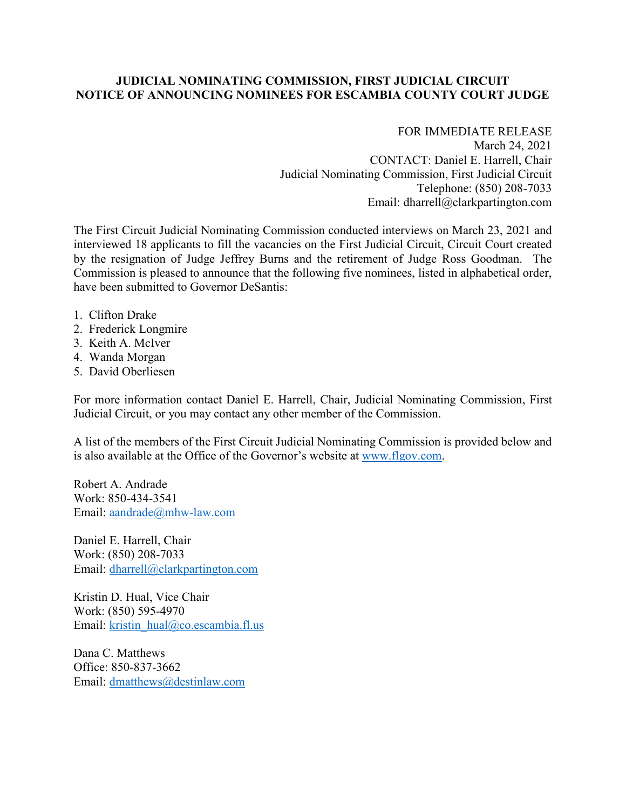## **JUDICIAL NOMINATING COMMISSION, FIRST JUDICIAL CIRCUIT NOTICE OF ANNOUNCING NOMINEES FOR ESCAMBIA COUNTY COURT JUDGE**

## FOR IMMEDIATE RELEASE

March 24, 2021 CONTACT: Daniel E. Harrell, Chair Judicial Nominating Commission, First Judicial Circuit Telephone: (850) 208-7033 Email: dharrell@clarkpartington.com

The First Circuit Judicial Nominating Commission conducted interviews on March 23, 2021 and interviewed 18 applicants to fill the vacancies on the First Judicial Circuit, Circuit Court created by the resignation of Judge Jeffrey Burns and the retirement of Judge Ross Goodman. The Commission is pleased to announce that the following five nominees, listed in alphabetical order, have been submitted to Governor DeSantis:

- 1. Clifton Drake
- 2. Frederick Longmire
- 3. Keith A. McIver
- 4. Wanda Morgan
- 5. David Oberliesen

For more information contact Daniel E. Harrell, Chair, Judicial Nominating Commission, First Judicial Circuit, or you may contact any other member of the Commission.

A list of the members of the First Circuit Judicial Nominating Commission is provided below and is also available at the Office of the Governor's website at www.flgov.com.

Robert A. Andrade Work: 850-434-3541 Email: aandrade@mhw-law.com

Daniel E. Harrell, Chair Work: (850) 208-7033 Email: dharrell@clarkpartington.com

Kristin D. Hual, Vice Chair Work: (850) 595-4970 Email: kristin\_hual@co.escambia.fl.us

Dana C. Matthews Office: 850-837-3662 Email: dmatthews@destinlaw.com